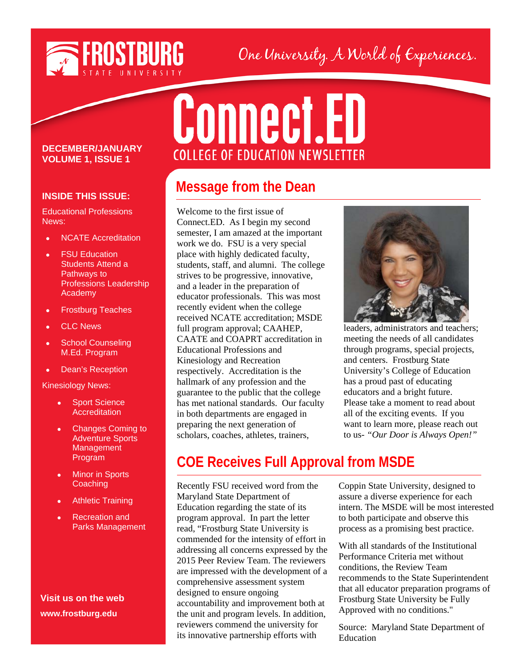

## One University. A World of Experiences.

#### **DECEMBER/JANUARY VOLUME 1, ISSUE 1**

#### **INSIDE THIS ISSUE:**

Educational Professions News:

- NCATE Accreditation
- **FSU Education** Students Attend a Pathways to Professions Leadership Academy
- Frostburg Teaches
- CLC News
- School Counseling M.Ed. Program
- Dean's Reception

#### Kinesiology News:

- **Sport Science Accreditation**
- Changes Coming to Adventure Sports **Management** Program
- **Minor in Sports Coaching**
- **Athletic Training**
- Recreation and Parks Management

#### **Visit us on the web www.frostburg.edu**

# **Connect.ED COLLEGE OF EDUCATION NEWSLETTER**

## **Message from the Dean**

Welcome to the first issue of Connect.ED. As I begin my second semester, I am amazed at the important work we do. FSU is a very special place with highly dedicated faculty, students, staff, and alumni. The college strives to be progressive, innovative, and a leader in the preparation of educator professionals. This was most recently evident when the college received NCATE accreditation; MSDE full program approval; CAAHEP, CAATE and COAPRT accreditation in Educational Professions and Kinesiology and Recreation respectively. Accreditation is the hallmark of any profession and the guarantee to the public that the college has met national standards. Our faculty in both departments are engaged in preparing the next generation of scholars, coaches, athletes, trainers,



leaders, administrators and teachers; meeting the needs of all candidates through programs, special projects, and centers. Frostburg State University's College of Education has a proud past of educating educators and a bright future. Please take a moment to read about all of the exciting events. If you want to learn more, please reach out to us- *"Our Door is Always Open!"*

## **COE Receives Full Approval from MSDE**

Recently FSU received word from the Maryland State Department of Education regarding the state of its program approval. In part the letter read, "Frostburg State University is commended for the intensity of effort in addressing all concerns expressed by the 2015 Peer Review Team. The reviewers are impressed with the development of a comprehensive assessment system designed to ensure ongoing accountability and improvement both at the unit and program levels. In addition, reviewers commend the university for its innovative partnership efforts with

Coppin State University, designed to assure a diverse experience for each intern. The MSDE will be most interested to both participate and observe this process as a promising best practice.

With all standards of the Institutional Performance Criteria met without conditions, the Review Team recommends to the State Superintendent that all educator preparation programs of Frostburg State University be Fully Approved with no conditions."

Source: Maryland State Department of Education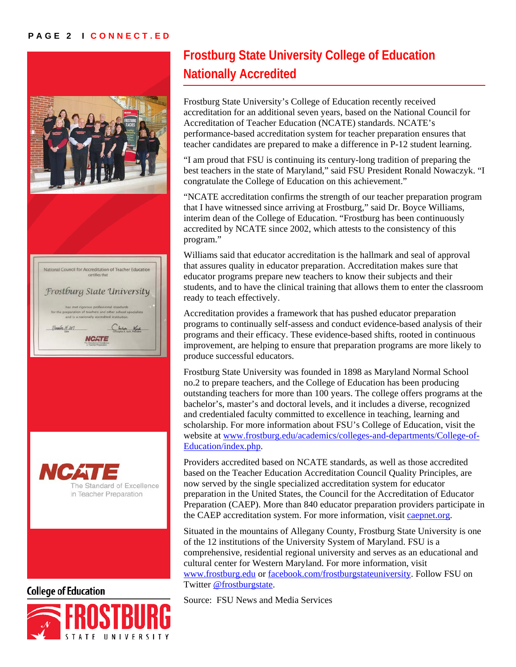#### **PAGE 2 I CONNECT.ED**





**College of Education** 



## **Frostburg State University College of Education Nationally Accredited**

Frostburg State University's College of Education recently received accreditation for an additional seven years, based on the National Council for Accreditation of Teacher Education (NCATE) standards. NCATE's performance-based accreditation system for teacher preparation ensures that teacher candidates are prepared to make a difference in P-12 student learning.

"I am proud that FSU is continuing its century-long tradition of preparing the best teachers in the state of Maryland," said FSU President Ronald Nowaczyk. "I congratulate the College of Education on this achievement."

"NCATE accreditation confirms the strength of our teacher preparation program that I have witnessed since arriving at Frostburg," said Dr. Boyce Williams, interim dean of the College of Education. "Frostburg has been continuously accredited by NCATE since 2002, which attests to the consistency of this program."

Williams said that educator accreditation is the hallmark and seal of approval that assures quality in educator preparation. Accreditation makes sure that educator programs prepare new teachers to know their subjects and their students, and to have the clinical training that allows them to enter the classroom ready to teach effectively.

Accreditation provides a framework that has pushed educator preparation programs to continually self-assess and conduct evidence-based analysis of their programs and their efficacy. These evidence-based shifts, rooted in continuous improvement, are helping to ensure that preparation programs are more likely to produce successful educators.

Frostburg State University was founded in 1898 as Maryland Normal School no.2 to prepare teachers, and the College of Education has been producing outstanding teachers for more than 100 years. The college offers programs at the bachelor's, master's and doctoral levels, and it includes a diverse, recognized and credentialed faculty committed to excellence in teaching, learning and scholarship. For more information about FSU's College of Education, visit the website at [www.frostburg.edu/academics/colleges-and-departments/College-of-](http://www.frostburg.edu/academics/colleges-and-departments/College-of-Education/index.php)[Education/index.php.](http://www.frostburg.edu/academics/colleges-and-departments/College-of-Education/index.php)

Providers accredited based on NCATE standards, as well as those accredited based on the Teacher Education Accreditation Council Quality Principles, are now served by the single specialized accreditation system for educator preparation in the United States, the Council for the Accreditation of Educator Preparation (CAEP). More than 840 educator preparation providers participate in the CAEP accreditation system. For more information, visit [caepnet.org.](http://caepnet.org/)

Situated in the mountains of Allegany County, Frostburg State University is one of the 12 institutions of the University System of Maryland. FSU is a comprehensive, residential regional university and serves as an educational and cultural center for Western Maryland. For more information, visit [www.frostburg.edu](http://www.frostburg.edu/) or [facebook.com/frostburgstateuniversity.](http://www.facebook.com/FrostburgStateUniversity) Follow FSU on Twitter [@frostburgstate.](https://twitter.com/frostburgstate)

Source: FSU News and Media Services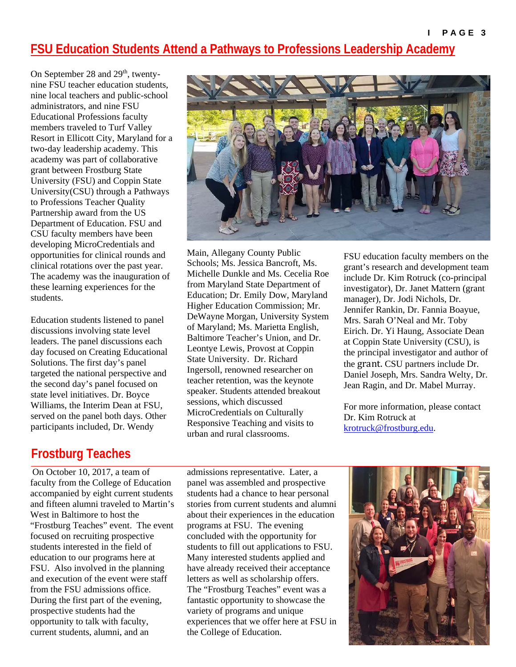#### **FSU Education Students Attend a Pathways to Professions Leadership Academy**

On September 28 and 29<sup>th</sup>, twentynine FSU teacher education students, nine local teachers and public-school administrators, and nine FSU Educational Professions faculty members traveled to Turf Valley Resort in Ellicott City, Maryland for a two-day leadership academy. This academy was part of collaborative grant between Frostburg State University (FSU) and Coppin State University(CSU) through a Pathways to Professions Teacher Quality Partnership award from the US Department of Education. FSU and CSU faculty members have been developing MicroCredentials and opportunities for clinical rounds and clinical rotations over the past year. The academy was the inauguration of these learning experiences for the students.

Education students listened to panel discussions involving state level leaders. The panel discussions each day focused on Creating Educational Solutions. The first day's panel targeted the national perspective and the second day's panel focused on state level initiatives. Dr. Boyce Williams, the Interim Dean at FSU, served on the panel both days. Other participants included, Dr. Wendy

## **Frostburg Teaches**

On October 10, 2017, a team of faculty from the College of Education accompanied by eight current students and fifteen alumni traveled to Martin's West in Baltimore to host the "Frostburg Teaches" event. The event focused on recruiting prospective students interested in the field of education to our programs here at FSU. Also involved in the planning and execution of the event were staff from the FSU admissions office. During the first part of the evening, prospective students had the opportunity to talk with faculty, current students, alumni, and an

admissions representative. Later, a panel was assembled and prospective students had a chance to hear personal stories from current students and alumni about their experiences in the education programs at FSU. The evening concluded with the opportunity for students to fill out applications to FSU. Many interested students applied and have already received their acceptance letters as well as scholarship offers. The "Frostburg Teaches" event was a fantastic opportunity to showcase the variety of programs and unique experiences that we offer here at FSU in the College of Education.

FSU education faculty members on the grant's research and development team include Dr. Kim Rotruck (co-principal investigator), Dr. Janet Mattern (grant manager), Dr. Jodi Nichols, Dr. Jennifer Rankin, Dr. Fannia Boayue, Mrs. Sarah O'Neal and Mr. Toby Eirich. Dr. Yi Haung, Associate Dean at Coppin State University (CSU), is the principal investigator and author of the grant. CSU partners include Dr. Daniel Joseph, Mrs. Sandra Welty, Dr. Jean Ragin, and Dr. Mabel Murray.

For more information, please contact Dr. Kim Rotruck at [krotruck@frostburg.edu.](mailto:krotruck@frostburg.edu)





Main, Allegany County Public Schools; Ms. Jessica Bancroft, Ms. Michelle Dunkle and Ms. Cecelia Roe from Maryland State Department of Education; Dr. Emily Dow, Maryland Higher Education Commission; Mr. DeWayne Morgan, University System of Maryland; Ms. Marietta English, Baltimore Teacher's Union, and Dr. Leontye Lewis, Provost at Coppin State University. Dr. Richard Ingersoll, renowned researcher on teacher retention, was the keynote speaker. Students attended breakout sessions, which discussed MicroCredentials on Culturally Responsive Teaching and visits to urban and rural classrooms.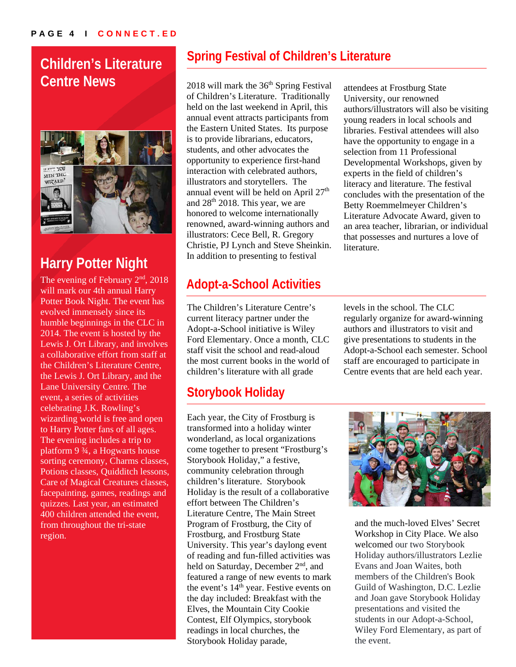## **Children's Literature Centre News**



## **Harry Potter Night**

The evening of February  $2<sup>nd</sup>$ , 2018 will mark our 4th annual Harry Potter Book Night. The event has evolved immensely since its humble beginnings in the CLC in 2014. The event is hosted by the Lewis J. Ort Library, and involves a collaborative effort from staff at the Children's Literature Centre, the Lewis J. Ort Library, and the Lane University Centre. The event, a series of activities celebrating J.K. Rowling's wizarding world is free and open to Harry Potter fans of all ages. The evening includes a trip to platform 9 ¾, a Hogwarts house sorting ceremony, Charms classes, Potions classes, Quidditch lessons, Care of Magical Creatures classes, facepainting, games, readings and quizzes. Last year, an estimated 400 children attended the event, from throughout the tri-state region.

## **Spring Festival of Children's Literature**

 $2018$  will mark the  $36<sup>th</sup>$  Spring Festival of Children's Literature. Traditionally held on the last weekend in April, this annual event attracts participants from the Eastern United States. Its purpose is to provide librarians, educators, students, and other advocates the opportunity to experience first-hand interaction with celebrated authors, illustrators and storytellers. The annual event will be held on April 27<sup>th</sup> and 28th 2018. This year, we are honored to welcome internationally renowned, award-winning authors and illustrators: Cece Bell, R. Gregory Christie, PJ Lynch and Steve Sheinkin. In addition to presenting to festival

## **Adopt-a-School Activities**

The Children's Literature Centre's current literacy partner under the Adopt-a-School initiative is Wiley Ford Elementary. Once a month, CLC staff visit the school and read-aloud the most current books in the world of children's literature with all grade

## **Storybook Holiday**

Each year, the City of Frostburg is transformed into a holiday winter wonderland, as local organizations come together to present "Frostburg's Storybook Holiday," a festive, community celebration through children's literature. Storybook Holiday is the result of a collaborative effort between The Children's Literature Centre, The Main Street Program of Frostburg, the City of Frostburg, and Frostburg State University. This year's daylong event of reading and fun-filled activities was held on Saturday, December 2<sup>nd</sup>, and featured a range of new events to mark the event's 14<sup>th</sup> year. Festive events on the day included: Breakfast with the Elves, the Mountain City Cookie Contest, Elf Olympics, storybook readings in local churches, the Storybook Holiday parade,

attendees at Frostburg State University, our renowned authors/illustrators will also be visiting young readers in local schools and libraries. Festival attendees will also have the opportunity to engage in a selection from 11 Professional Developmental Workshops, given by experts in the field of children's literacy and literature. The festival concludes with the presentation of the Betty Roemmelmeyer Children's Literature Advocate Award, given to an area teacher, librarian, or individual that possesses and nurtures a love of literature.

levels in the school. The CLC regularly organize for award-winning authors and illustrators to visit and give presentations to students in the Adopt-a-School each semester. School staff are encouraged to participate in Centre events that are held each year.



and the much-loved Elves' Secret Workshop in City Place. We also welcomed our two Storybook Holiday authors/illustrators Lezlie Evans and Joan Waites, both members of the Children's Book Guild of Washington, D.C. Lezlie and Joan gave Storybook Holiday presentations and visited the students in our Adopt-a-School, Wiley Ford Elementary, as part of the event.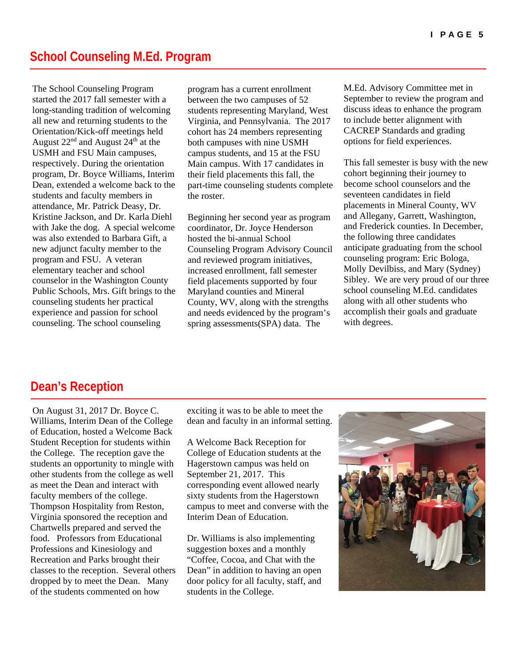The School Counseling Program started the 2017 fall semester with a long-standing tradition of welcoming all new and returning students to the Orientation/Kick-off meetings held August  $22<sup>nd</sup>$  and August  $24<sup>th</sup>$  at the USMH and FSU Main campuses, respectively. During the orientation program, Dr. Boyce Williams, Interim Dean, extended a welcome back to the students and faculty members in attendance, Mr. Patrick Deasy, Dr. Kristine Jackson, and Dr. Karla Diehl with Jake the dog. A special welcome was also extended to Barbara Gift, a new adjunct faculty member to the program and FSU. A veteran elementary teacher and school counselor in the Washington County Public Schools, Mrs. Gift brings to the counseling students her practical experience and passion for school counseling. The school counseling

program has a current enrollment between the two campuses of 52 students representing Maryland, West Virginia, and Pennsylvania. The 2017 cohort has 24 members representing both campuses with nine USMH campus students, and 15 at the FSU Main campus. With 17 candidates in their field placements this fall, the part-time counseling students complete the roster.

Beginning her second year as program coordinator, Dr. Joyce Henderson hosted the bi-annual School Counseling Program Advisory Council and reviewed program initiatives, increased enrollment, fall semester field placements supported by four Maryland counties and Mineral County, WV, along with the strengths and needs evidenced by the program's spring assessments(SPA) data. The

M.Ed. Advisory Committee met in September to review the program and discuss ideas to enhance the program to include better alignment with CACREP Standards and grading options for field experiences.

This fall semester is busy with the new cohort beginning their journey to become school counselors and the seventeen candidates in field placements in Mineral County, WV and Allegany, Garrett, Washington, and Frederick counties. In December, the following three candidates anticipate graduating from the school counseling program: Eric Bologa, Molly Devilbiss, and Mary (Sydney) Sibley. We are very proud of our three school counseling M.Ed. candidates along with all other students who accomplish their goals and graduate with degrees.

#### **Dean's Reception**

On August 31, 2017 Dr. Boyce C. Williams, Interim Dean of the College of Education, hosted a Welcome Back Student Reception for students within the College. The reception gave the students an opportunity to mingle with other students from the college as well as meet the Dean and interact with faculty members of the college. Thompson Hospitality from Reston, Virginia sponsored the reception and Chartwells prepared and served the food. Professors from Educational Professions and Kinesiology and Recreation and Parks brought their classes to the reception. Several others dropped by to meet the Dean. Many of the students commented on how

exciting it was to be able to meet the dean and faculty in an informal setting.

A Welcome Back Reception for College of Education students at the Hagerstown campus was held on September 21, 2017. This corresponding event allowed nearly sixty students from the Hagerstown campus to meet and converse with the Interim Dean of Education.

Dr. Williams is also implementing suggestion boxes and a monthly "Coffee, Cocoa, and Chat with the Dean" in addition to having an open door policy for all faculty, staff, and students in the College.

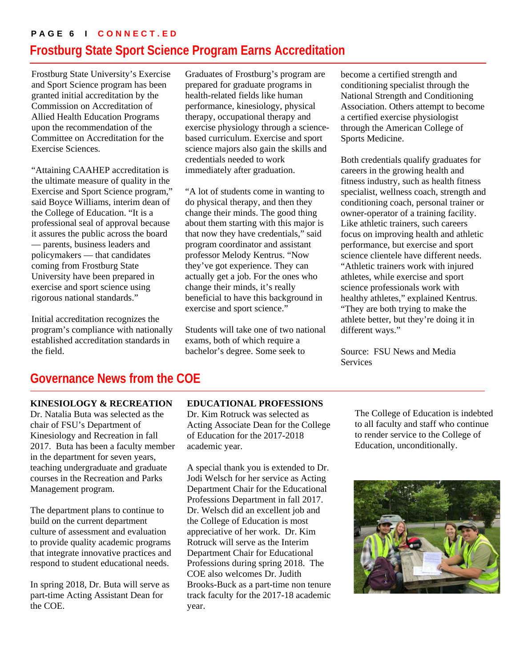#### **PAGE 6 I CONNECT.ED Frostburg State Sport Science Program Earns Accreditation**

Frostburg State University's Exercise and Sport Science program has been granted initial accreditation by the Commission on Accreditation of Allied Health Education Programs upon the recommendation of the Committee on Accreditation for the Exercise Sciences.

"Attaining CAAHEP accreditation is the ultimate measure of quality in the Exercise and Sport Science program," said Boyce Williams, interim dean of the College of Education. "It is a professional seal of approval because it assures the public across the board — parents, business leaders and policymakers — that candidates coming from Frostburg State University have been prepared in exercise and sport science using rigorous national standards."

Initial accreditation recognizes the program's compliance with nationally established accreditation standards in the field.

Graduates of Frostburg's program are prepared for graduate programs in health-related fields like human performance, kinesiology, physical therapy, occupational therapy and exercise physiology through a sciencebased curriculum. Exercise and sport science majors also gain the skills and credentials needed to work immediately after graduation.

"A lot of students come in wanting to do physical therapy, and then they change their minds. The good thing about them starting with this major is that now they have credentials," said program coordinator and assistant professor Melody Kentrus. "Now they've got experience. They can actually get a job. For the ones who change their minds, it's really beneficial to have this background in exercise and sport science."

Students will take one of two national exams, both of which require a bachelor's degree. Some seek to

become a certified strength and conditioning specialist through the National Strength and Conditioning Association. Others attempt to become a certified exercise physiologist through the American College of Sports Medicine.

Both credentials qualify graduates for careers in the growing health and fitness industry, such as health fitness specialist, wellness coach, strength and conditioning coach, personal trainer or owner-operator of a training facility. Like athletic trainers, such careers focus on improving health and athletic performance, but exercise and sport science clientele have different needs. "Athletic trainers work with injured athletes, while exercise and sport science professionals work with healthy athletes," explained Kentrus. "They are both trying to make the athlete better, but they're doing it in different ways."

Source: FSU News and Media Services

## **Governance News from the COE**

#### **KINESIOLOGY & RECREATION**

Dr. Natalia Buta was selected as the chair of FSU's Department of Kinesiology and Recreation in fall 2017. Buta has been a faculty member in the department for seven years, teaching undergraduate and graduate courses in the Recreation and Parks Management program.

The department plans to continue to build on the current department culture of assessment and evaluation to provide quality academic programs that integrate innovative practices and respond to student educational needs.

In spring 2018, Dr. Buta will serve as part-time Acting Assistant Dean for the COE.

#### **EDUCATIONAL PROFESSIONS**

Dr. Kim Rotruck was selected as Acting Associate Dean for the College of Education for the 2017-2018 academic year.

A special thank you is extended to Dr. Jodi Welsch for her service as Acting Department Chair for the Educational Professions Department in fall 2017. Dr. Welsch did an excellent job and the College of Education is most appreciative of her work. Dr. Kim Rotruck will serve as the Interim Department Chair for Educational Professions during spring 2018. The COE also welcomes Dr. Judith Brooks-Buck as a part-time non tenure track faculty for the 2017-18 academic year.

The College of Education is indebted to all faculty and staff who continue to render service to the College of Education, unconditionally.

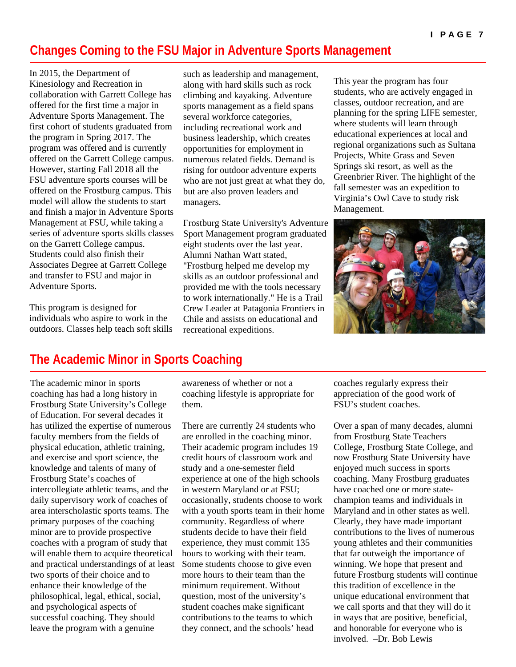#### **Changes Coming to the FSU Major in Adventure Sports Management**

In 2015, the Department of Kinesiology and Recreation in collaboration with Garrett College has offered for the first time a major in Adventure Sports Management. The first cohort of students graduated from the program in Spring 2017. The program was offered and is currently offered on the Garrett College campus. However, starting Fall 2018 all the FSU adventure sports courses will be offered on the Frostburg campus. This model will allow the students to start and finish a major in Adventure Sports Management at FSU, while taking a series of adventure sports skills classes on the Garrett College campus. Students could also finish their Associates Degree at Garrett College and transfer to FSU and major in Adventure Sports.

This program is designed for individuals who aspire to work in the outdoors. Classes help teach soft skills

such as leadership and management, along with hard skills such as rock climbing and kayaking. Adventure sports management as a field spans several workforce categories, including recreational work and business leadership, which creates opportunities for employment in numerous related fields. Demand is rising for outdoor adventure experts who are not just great at what they do, but are also proven leaders and managers.

Frostburg State University's Adventure Sport Management program graduated eight students over the last year. Alumni Nathan Watt stated, "Frostburg helped me develop my skills as an outdoor professional and provided me with the tools necessary to work internationally." He is a Trail Crew Leader at Patagonia Frontiers in Chile and assists on educational and recreational expeditions.

This year the program has four students, who are actively engaged in classes, outdoor recreation, and are planning for the spring LIFE semester, where students will learn through educational experiences at local and regional organizations such as Sultana Projects, White Grass and Seven Springs ski resort, as well as the Greenbrier River. The highlight of the fall semester was an expedition to Virginia's Owl Cave to study risk Management.



#### **The Academic Minor in Sports Coaching**

The academic minor in sports coaching has had a long history in Frostburg State University's College of Education. For several decades it has utilized the expertise of numerous faculty members from the fields of physical education, athletic training, and exercise and sport science, the knowledge and talents of many of Frostburg State's coaches of intercollegiate athletic teams, and the daily supervisory work of coaches of area interscholastic sports teams. The primary purposes of the coaching minor are to provide prospective coaches with a program of study that will enable them to acquire theoretical and practical understandings of at least two sports of their choice and to enhance their knowledge of the philosophical, legal, ethical, social, and psychological aspects of successful coaching. They should leave the program with a genuine

awareness of whether or not a coaching lifestyle is appropriate for them.

There are currently 24 students who are enrolled in the coaching minor. Their academic program includes 19 credit hours of classroom work and study and a one-semester field experience at one of the high schools in western Maryland or at FSU; occasionally, students choose to work with a youth sports team in their home community. Regardless of where students decide to have their field experience, they must commit 135 hours to working with their team. Some students choose to give even more hours to their team than the minimum requirement. Without question, most of the university's student coaches make significant contributions to the teams to which they connect, and the schools' head

coaches regularly express their appreciation of the good work of FSU's student coaches.

Over a span of many decades, alumni from Frostburg State Teachers College, Frostburg State College, and now Frostburg State University have enjoyed much success in sports coaching. Many Frostburg graduates have coached one or more statechampion teams and individuals in Maryland and in other states as well. Clearly, they have made important contributions to the lives of numerous young athletes and their communities that far outweigh the importance of winning. We hope that present and future Frostburg students will continue this tradition of excellence in the unique educational environment that we call sports and that they will do it in ways that are positive, beneficial, and honorable for everyone who is involved. –Dr. Bob Lewis